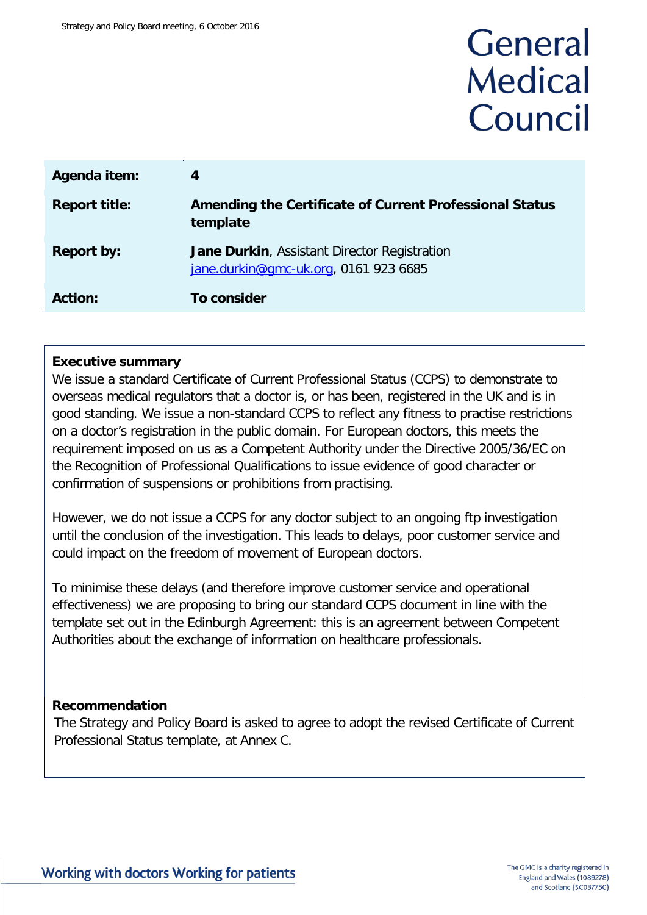# General **Medical** Council

| Agenda item:         | 4                                                                                            |
|----------------------|----------------------------------------------------------------------------------------------|
| <b>Report title:</b> | Amending the Certificate of Current Professional Status<br>template                          |
| <b>Report by:</b>    | <b>Jane Durkin, Assistant Director Registration</b><br>jane.durkin@gmc-uk.org, 0161 923 6685 |
| <b>Action:</b>       | To consider                                                                                  |

#### **Executive summary**

We issue a standard Certificate of Current Professional Status (CCPS) to demonstrate to overseas medical regulators that a doctor is, or has been, registered in the UK and is in good standing. We issue a non-standard CCPS to reflect any fitness to practise restrictions on a doctor's registration in the public domain. For European doctors, this meets the requirement imposed on us as a Competent Authority under the Directive 2005/36/EC on the Recognition of Professional Qualifications to issue evidence of good character or confirmation of suspensions or prohibitions from practising.

However, we do not issue a CCPS for any doctor subject to an ongoing ftp investigation until the conclusion of the investigation. This leads to delays, poor customer service and could impact on the freedom of movement of European doctors.

To minimise these delays (and therefore improve customer service and operational effectiveness) we are proposing to bring our standard CCPS document in line with the template set out in the Edinburgh Agreement: this is an agreement between Competent Authorities about the exchange of information on healthcare professionals.

#### **Recommendation**

The Strategy and Policy Board is asked to agree to adopt the revised Certificate of Current Professional Status template, at Annex C.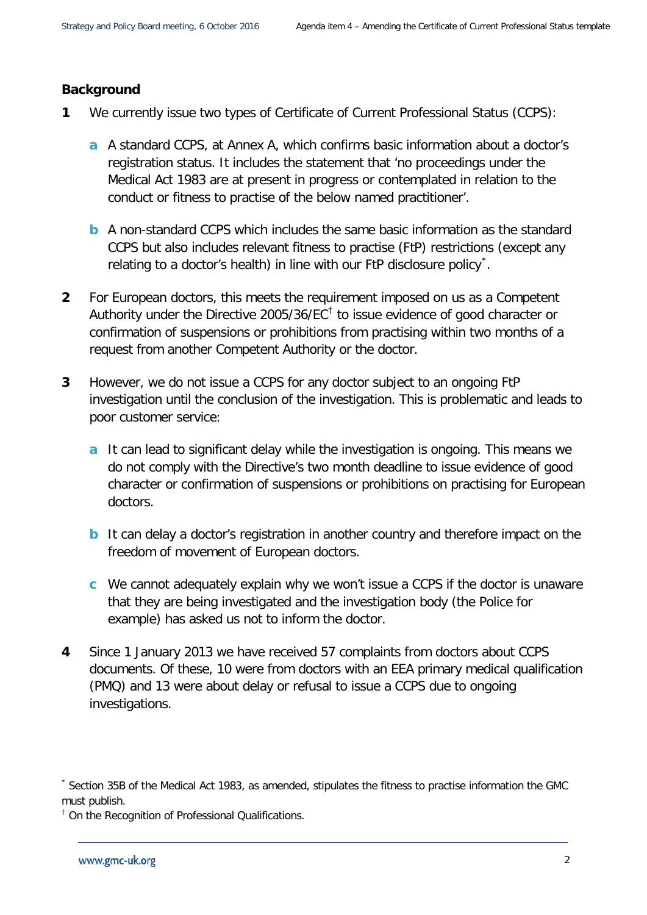#### **Background**

- **1** We currently issue two types of Certificate of Current Professional Status (CCPS):
	- **a** A standard CCPS, at Annex A, which confirms basic information about a doctor's registration status. It includes the statement that 'no proceedings under the Medical Act 1983 are at present in progress or contemplated in relation to the conduct or fitness to practise of the below named practitioner'.
	- **b** A non-standard CCPS which includes the same basic information as the standard CCPS but also includes relevant fitness to practise (FtP) restrictions (except any relating to a doctor's health) in line with our FtP disclosure policy $\dot{\tilde{\ }}$ .
- **2** For European doctors, this meets the requirement imposed on us as a Competent Authority under the Directive 2005/36/EC<sup> $<sup>†</sup>$  $<sup>†</sup>$  $<sup>†</sup>$  to issue evidence of good character or</sup></sup> confirmation of suspensions or prohibitions from practising within two months of a request from another Competent Authority or the doctor.
- **3** However, we do not issue a CCPS for any doctor subject to an ongoing FtP investigation until the conclusion of the investigation. This is problematic and leads to poor customer service:
	- **a** It can lead to significant delay while the investigation is ongoing. This means we do not comply with the Directive's two month deadline to issue evidence of good character or confirmation of suspensions or prohibitions on practising for European doctors.
	- **b** It can delay a doctor's registration in another country and therefore impact on the freedom of movement of European doctors.
	- **c** We cannot adequately explain why we won't issue a CCPS if the doctor is unaware that they are being investigated and the investigation body (the Police for example) has asked us not to inform the doctor.
- **4** Since 1 January 2013 we have received 57 complaints from doctors about CCPS documents. Of these, 10 were from doctors with an EEA primary medical qualification (PMQ) and 13 were about delay or refusal to issue a CCPS due to ongoing investigations.

<span id="page-1-0"></span>Section 35B of the Medical Act 1983, as amended, stipulates the fitness to practise information the GMC must publish.

<span id="page-1-1"></span><sup>&</sup>lt;sup>†</sup> On the Recognition of Professional Qualifications.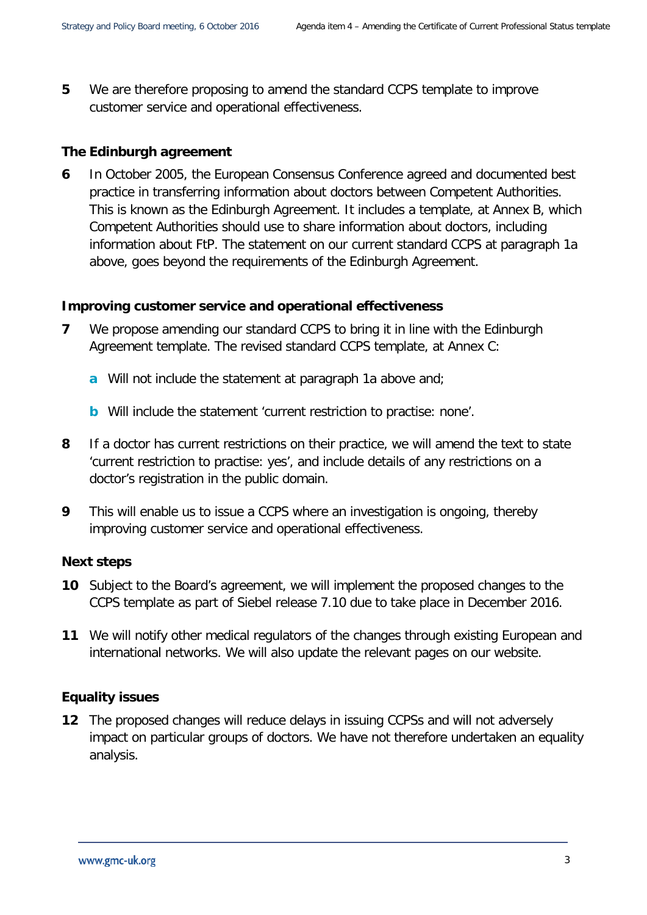**5** We are therefore proposing to amend the standard CCPS template to improve customer service and operational effectiveness.

#### **The Edinburgh agreement**

**6** In October 2005, the European Consensus Conference agreed and documented best practice in transferring information about doctors between Competent Authorities. This is known as the Edinburgh Agreement. It includes a template, at Annex B, which Competent Authorities should use to share information about doctors, including information about FtP. The statement on our current standard CCPS at paragraph 1a above, goes beyond the requirements of the Edinburgh Agreement.

#### **Improving customer service and operational effectiveness**

- **7** We propose amending our standard CCPS to bring it in line with the Edinburgh Agreement template. The revised standard CCPS template, at Annex C:
	- **a** Will not include the statement at paragraph 1a above and;
	- **b** Will include the statement 'current restriction to practise: none'.
- **8** If a doctor has current restrictions on their practice, we will amend the text to state 'current restriction to practise: yes', and include details of any restrictions on a doctor's registration in the public domain.
- **9** This will enable us to issue a CCPS where an investigation is ongoing, thereby improving customer service and operational effectiveness.

#### **Next steps**

- **10** Subject to the Board's agreement, we will implement the proposed changes to the CCPS template as part of Siebel release 7.10 due to take place in December 2016.
- **11** We will notify other medical regulators of the changes through existing European and international networks. We will also update the relevant pages on our website.

#### **Equality issues**

**12** The proposed changes will reduce delays in issuing CCPSs and will not adversely impact on particular groups of doctors. We have not therefore undertaken an equality analysis.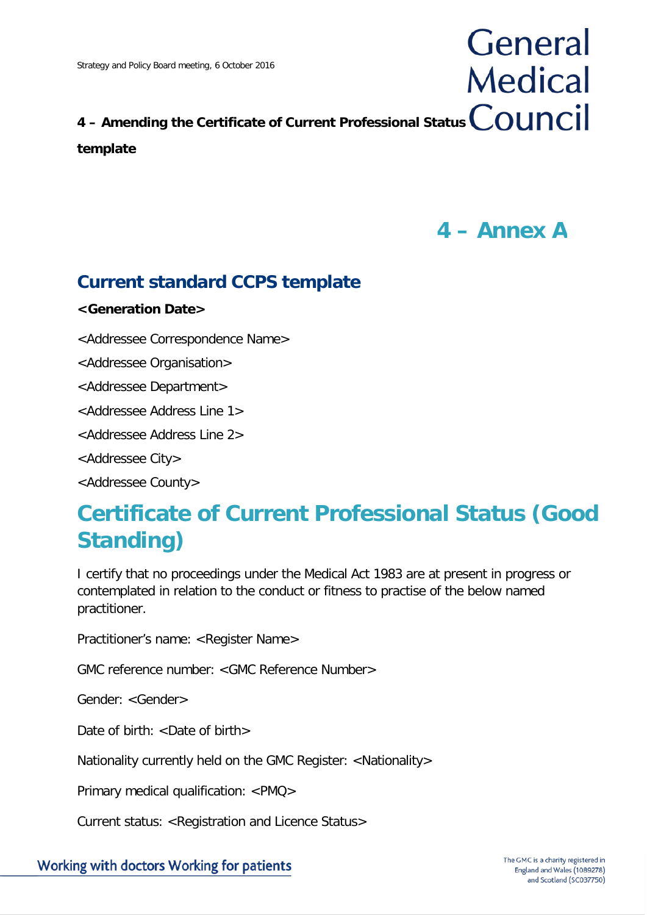## **4 – Amending the Certificate of Current Professional Status template**

**4 – Annex A**

General

**Medical** 

## **Current standard CCPS template**

#### **<Generation Date>**

<Addressee Correspondence Name>

<Addressee Organisation>

<Addressee Department>

<Addressee Address Line 1>

<Addressee Address Line 2>

<Addressee City>

<Addressee County>

## **Certificate of Current Professional Status (Good Standing)**

I certify that no proceedings under the Medical Act 1983 are at present in progress or contemplated in relation to the conduct or fitness to practise of the below named practitioner.

Practitioner's name: <Register Name>

GMC reference number: <GMC Reference Number>

Gender: <Gender>

Date of birth: <Date of birth>

Nationality currently held on the GMC Register: <Nationality>

Primary medical qualification: <PMQ>

Current status: <Registration and Licence Status>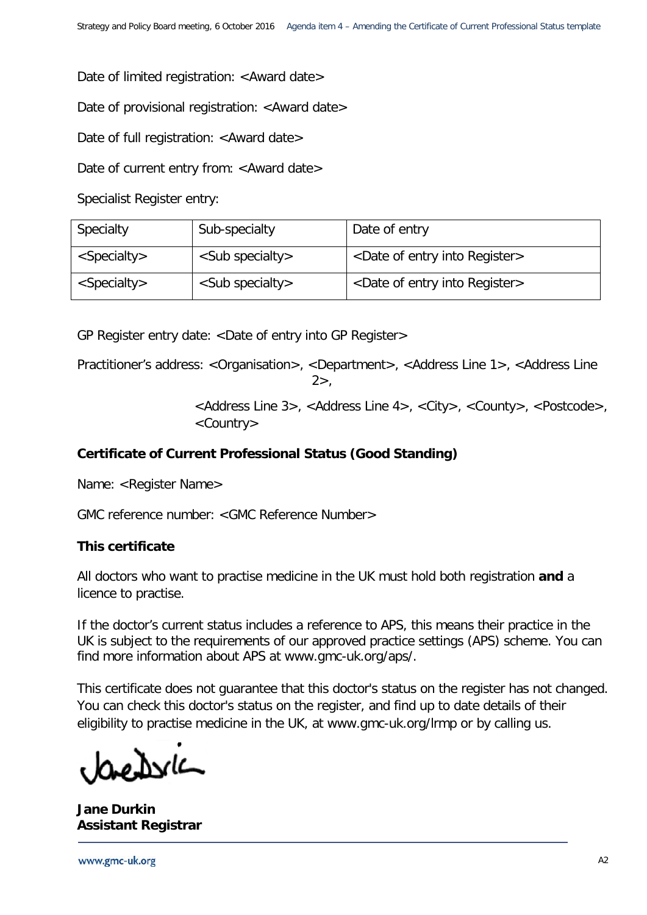Date of limited registration: <Award date>

Date of provisional registration: <Award date>

Date of full registration: <Award date>

Date of current entry from: < Award date>

Specialist Register entry:

| Specialty               | Sub-specialty               | Date of entry                                    |
|-------------------------|-----------------------------|--------------------------------------------------|
| <specialty></specialty> | <sub specialty=""></sub>    | <date entry="" into="" of="" register=""></date> |
| $<$ Specialty>          | $\langle$ Sub specialty $>$ | <date entry="" into="" of="" register=""></date> |

GP Register entry date: <Date of entry into GP Register>

Practitioner's address: <Organisation>, <Department>, <Address Line 1>, <Address Line  $2$ 

> <Address Line 3>, <Address Line 4>, <City>, <County>, <Postcode>, <Country>

#### **Certificate of Current Professional Status (Good Standing)**

Name: <Register Name>

GMC reference number: <GMC Reference Number>

#### **This certificate**

All doctors who want to practise medicine in the UK must hold both registration **and** a licence to practise.

If the doctor's current status includes a reference to APS, this means their practice in the UK is subject to the requirements of our approved practice settings (APS) scheme. You can find more information about APS at www.gmc-uk.org/aps/.

This certificate does not guarantee that this doctor's status on the register has not changed. You can check this doctor's status on the register, and find up to date details of their eligibility to practise medicine in the UK, at www.gmc-uk.org/lrmp or by calling us.

roNvk

**Jane Durkin Assistant Registrar**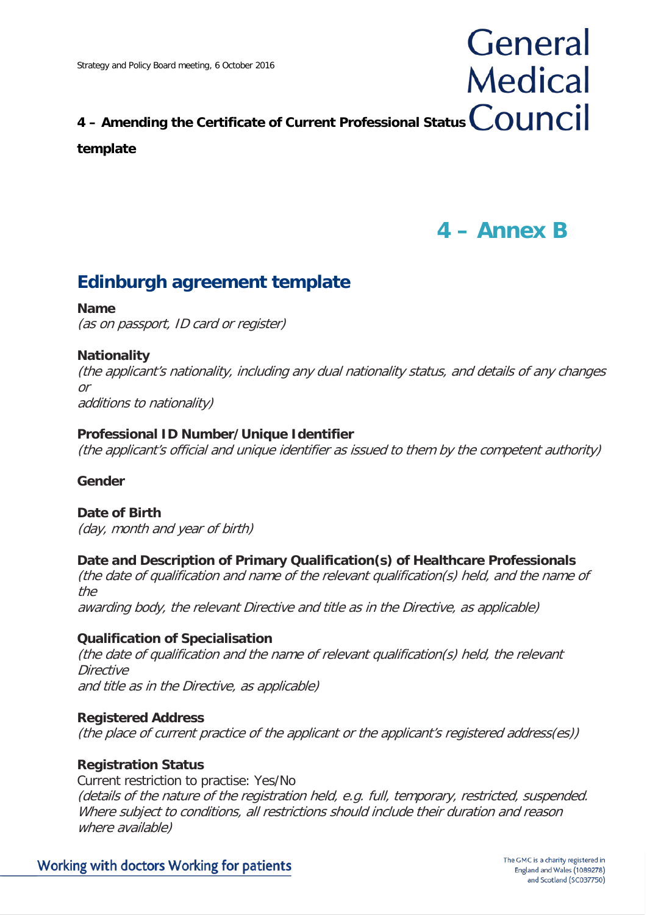# **4 – Amending the Certificate of Current Professional Status**

#### **template**

## **4 – Annex B**

General

**Medical** 

### **Edinburgh agreement template**

#### **Name**

(as on passport, ID card or register)

#### **Nationality**

(the applicant's nationality, including any dual nationality status, and details of any changes or additions to nationality)

#### **Professional ID Number/Unique Identifier**

(the applicant's official and unique identifier as issued to them by the competent authority)

#### **Gender**

**Date of Birth** (day, month and year of birth)

#### **Date and Description of Primary Qualification(s) of Healthcare Professionals**

(the date of qualification and name of the relevant qualification(s) held, and the name of the

awarding body, the relevant Directive and title as in the Directive, as applicable)

#### **Qualification of Specialisation**

(the date of qualification and the name of relevant qualification(s) held, the relevant **Directive** and title as in the Directive, as applicable)

#### **Registered Address**

(the place of current practice of the applicant or the applicant's registered address(es))

#### **Registration Status**

Current restriction to practise: Yes/No (details of the nature of the registration held, e.g. full, temporary, restricted, suspended. Where subject to conditions, all restrictions should include their duration and reason where available)

#### Working with doctors Working for patients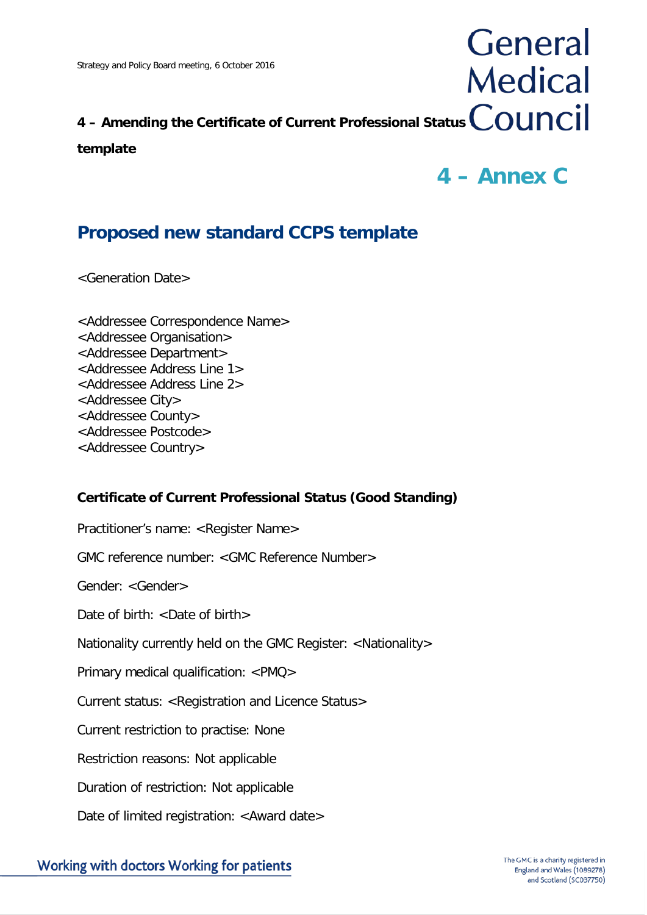# **4 – Amending the Certificate of Current Professional Status**

#### **template**

## **4 – Annex C**

General

**Medical** 

### **Proposed new standard CCPS template**

<Generation Date>

<Addressee Correspondence Name> <Addressee Organisation> <Addressee Department> <Addressee Address Line 1> <Addressee Address Line 2> <Addressee City> <Addressee County> <Addressee Postcode> <Addressee Country>

#### **Certificate of Current Professional Status (Good Standing)**

Practitioner's name: <Register Name>

GMC reference number: <GMC Reference Number>

Gender: <Gender>

Date of birth:  $\langle$ Date of birth $\rangle$ 

Nationality currently held on the GMC Register: <Nationality>

Primary medical qualification: <PMQ>

Current status: <Registration and Licence Status>

Current restriction to practise: None

Restriction reasons: Not applicable

Duration of restriction: Not applicable

Date of limited registration: <Award date>